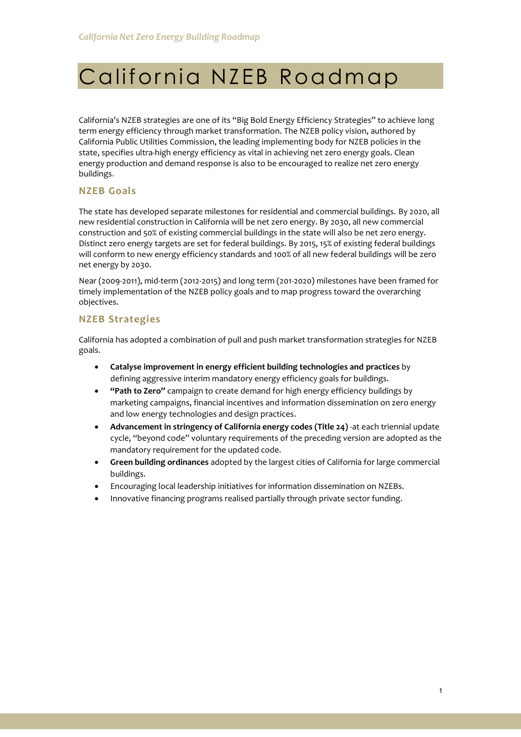# California NZEB Roadmap

California's NZEB strategies are one of its "Big Bold Energy Efficiency Strategies" to achieve long term energy efficiency through market transformation. The NZEB policy vision, authored by California Public Utilities Commission, the leading implementing body for NZEB policies in the state, specifies ultra-high energy efficiency as vital in achieving net zero energy goals. Clean energy production and demand response is also to be encouraged to realize net zero energy buildings.

# **NZEB Goals**

The state has developed separate milestones for residential and commercial buildings. By 2020, all new residential construction in California will be net zero energy. By 2030, all new commercial construction and 50% of existing commercial buildings in the state will also be net zero energy. Distinct zero energy targets are set for federal buildings. By 2015, 15% of existing federal buildings will conform to new energy efficiency standards and 100% of all new federal buildings will be zero net energy by 2030.

Near (2009-2011), mid-term (2012-2015) and long term (201-2020) milestones have been framed for timely implementation of the NZEB policy goals and to map progress toward the overarching objectives.

## **NZEB Strategies**

California has adopted a combination of pull and push market transformation strategies for NZEB goals.

- **Catalyse improvement in energy efficient building technologies and practices** by defining aggressive interim mandatory energy efficiency goals for buildings.
- **"Path to Zero"** campaign to create demand for high energy efficiency buildings by marketing campaigns, financial incentives and information dissemination on zero energy and low energy technologies and design practices.
- **Advancement in stringency of California energy codes (Title 24)** -at each triennial update cycle, "beyond code" voluntary requirements of the preceding version are adopted as the mandatory requirement for the updated code.
- **Green building ordinances** adopted by the largest cities of California for large commercial buildings.
- Encouraging local leadership initiatives for information dissemination on NZEBs.
- Innovative financing programs realised partially through private sector funding.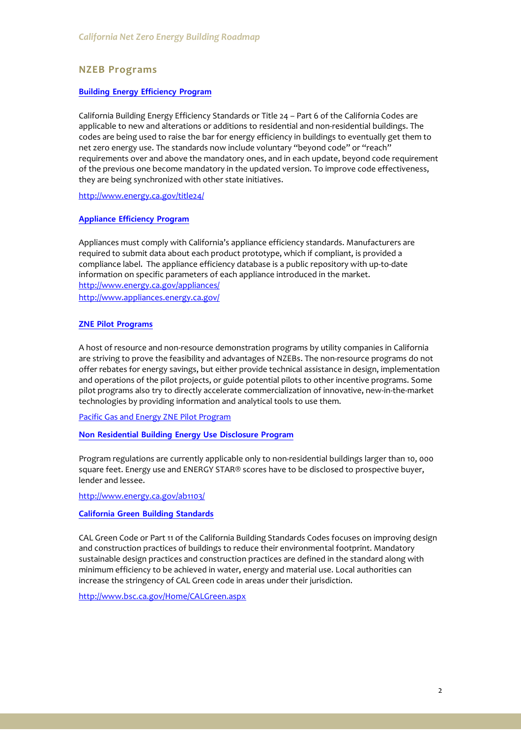### **NZEB Programs**

#### **[Building Energy Efficiency Program](http://www.energy.ca.gov/title24/)**

California Building Energy Efficiency Standards or Title 24 – Part 6 of the California Codes are applicable to new and alterations or additions to residential and non-residential buildings. The codes are being used to raise the bar for energy efficiency in buildings to eventually get them to net zero energy use. The standards now include voluntary "beyond code" or "reach" requirements over and above the mandatory ones, and in each update, beyond code requirement of the previous one become mandatory in the updated version. To improve code effectiveness, they are being synchronized with other state initiatives.

<http://www.energy.ca.gov/title24/>

#### **[Appliance Efficiency Program](http://www.energy.ca.gov/appliances/)**

Appliances must comply with California's appliance efficiency standards. Manufacturers are required to submit data about each product prototype, which if compliant, is provided a compliance label. The appliance efficiency database is a public repository with up-to-date information on specific parameters of each appliance introduced in the market. <http://www.energy.ca.gov/appliances/> <http://www.appliances.energy.ca.gov/>

#### **[ZNE Pilot Programs](file:///C:/Users/edsaarti/Desktop/nzeb/Pacific%20Gas%20and%20Energy%20ZNE%20Pilot%20Program)**

A host of resource and non-resource demonstration programs by utility companies in California are striving to prove the feasibility and advantages of NZEBs. The non-resource programs do not offer rebates for energy savings, but either provide technical assistance in design, implementation and operations of the pilot projects, or guide potential pilots to other incentive programs. Some pilot programs also try to directly accelerate commercialization of innovative, new-in-the-market technologies by providing information and analytical tools to use them.

[Pacific Gas and Energy ZNE Pilot Program](http://www.pge.com/en/myhome/saveenergymoney/rebates/zne/index.page)

**[Non Residential Building Energy Use Disclosure Program](http://www.energy.ca.gov/ab1103/)**

Program regulations are currently applicable only to non-residential buildings larger than 10, 000 square feet. Energy use and ENERGY STAR® scores have to be disclosed to prospective buyer, lender and lessee.

<http://www.energy.ca.gov/ab1103/>

#### **[California Green Building Standards](http://www.bsc.ca.gov/Home/CALGreen.aspx)**

CAL Green Code or Part 11 of the California Building Standards Codes focuses on improving design and construction practices of buildings to reduce their environmental footprint. Mandatory sustainable design practices and construction practices are defined in the standard along with minimum efficiency to be achieved in water, energy and material use. Local authorities can increase the stringency of CAL Green code in areas under their jurisdiction.

http://www.bsc.ca.gov/Home/CALGreen.aspx